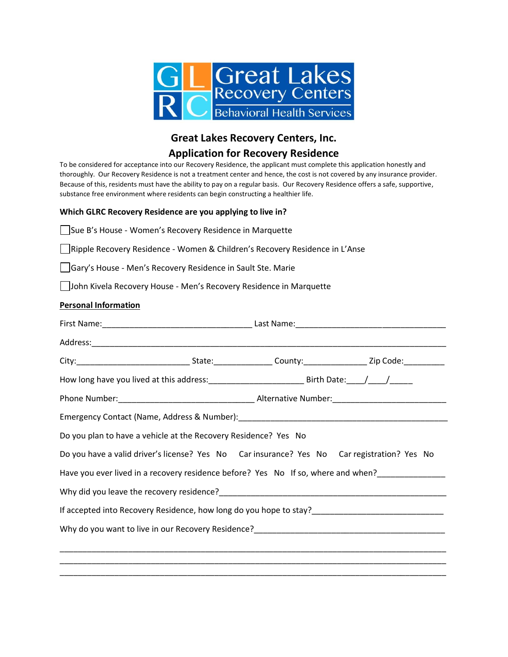

# **Great Lakes Recovery Centers, Inc.**

## **Application for Recovery Residence**

To be considered for acceptance into our Recovery Residence, the applicant must complete this application honestly and thoroughly. Our Recovery Residence is not a treatment center and hence, the cost is not covered by any insurance provider. Because of this, residents must have the ability to pay on a regular basis. Our Recovery Residence offers a safe, supportive, substance free environment where residents can begin constructing a healthier life.

### **Which GLRC Recovery Residence are you applying to live in?**

Sue B's House - Women's Recovery Residence in Marquette

Ripple Recovery Residence - Women & Children's Recovery Residence in L'Anse

Gary's House - Men's Recovery Residence in Sault Ste. Marie

John Kivela Recovery House - Men's Recovery Residence in Marquette

### **Personal Information**

| Do you plan to have a vehicle at the Recovery Residence? Yes No                                      |  |  |  |
|------------------------------------------------------------------------------------------------------|--|--|--|
| Do you have a valid driver's license? Yes No Car insurance? Yes No Car registration? Yes No          |  |  |  |
| Have you ever lived in a recovery residence before? Yes No If so, where and when?                    |  |  |  |
|                                                                                                      |  |  |  |
| If accepted into Recovery Residence, how long do you hope to stay?__________________________________ |  |  |  |
|                                                                                                      |  |  |  |
|                                                                                                      |  |  |  |
|                                                                                                      |  |  |  |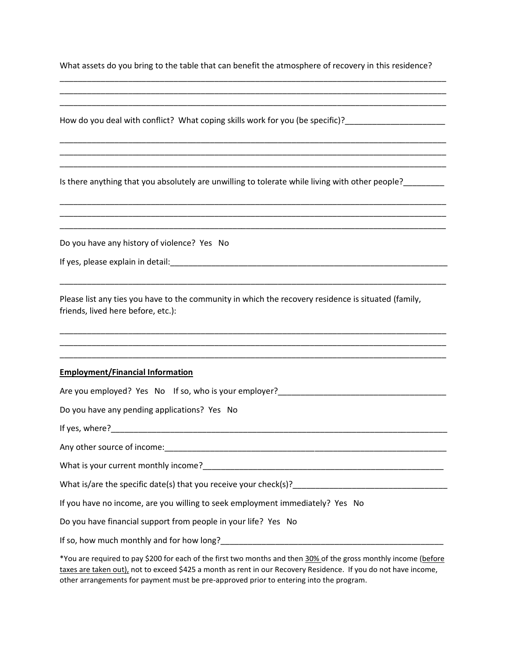What assets do you bring to the table that can benefit the atmosphere of recovery in this residence?

\_\_\_\_\_\_\_\_\_\_\_\_\_\_\_\_\_\_\_\_\_\_\_\_\_\_\_\_\_\_\_\_\_\_\_\_\_\_\_\_\_\_\_\_\_\_\_\_\_\_\_\_\_\_\_\_\_\_\_\_\_\_\_\_\_\_\_\_\_\_\_\_\_\_\_\_\_\_\_\_\_\_\_\_\_ \_\_\_\_\_\_\_\_\_\_\_\_\_\_\_\_\_\_\_\_\_\_\_\_\_\_\_\_\_\_\_\_\_\_\_\_\_\_\_\_\_\_\_\_\_\_\_\_\_\_\_\_\_\_\_\_\_\_\_\_\_\_\_\_\_\_\_\_\_\_\_\_\_\_\_\_\_\_\_\_\_\_\_\_\_ \_\_\_\_\_\_\_\_\_\_\_\_\_\_\_\_\_\_\_\_\_\_\_\_\_\_\_\_\_\_\_\_\_\_\_\_\_\_\_\_\_\_\_\_\_\_\_\_\_\_\_\_\_\_\_\_\_\_\_\_\_\_\_\_\_\_\_\_\_\_\_\_\_\_\_\_\_\_\_\_\_\_\_\_\_

\_\_\_\_\_\_\_\_\_\_\_\_\_\_\_\_\_\_\_\_\_\_\_\_\_\_\_\_\_\_\_\_\_\_\_\_\_\_\_\_\_\_\_\_\_\_\_\_\_\_\_\_\_\_\_\_\_\_\_\_\_\_\_\_\_\_\_\_\_\_\_\_\_\_\_\_\_\_\_\_\_\_\_\_\_ \_\_\_\_\_\_\_\_\_\_\_\_\_\_\_\_\_\_\_\_\_\_\_\_\_\_\_\_\_\_\_\_\_\_\_\_\_\_\_\_\_\_\_\_\_\_\_\_\_\_\_\_\_\_\_\_\_\_\_\_\_\_\_\_\_\_\_\_\_\_\_\_\_\_\_\_\_\_\_\_\_\_\_\_\_ \_\_\_\_\_\_\_\_\_\_\_\_\_\_\_\_\_\_\_\_\_\_\_\_\_\_\_\_\_\_\_\_\_\_\_\_\_\_\_\_\_\_\_\_\_\_\_\_\_\_\_\_\_\_\_\_\_\_\_\_\_\_\_\_\_\_\_\_\_\_\_\_\_\_\_\_\_\_\_\_\_\_\_\_\_

\_\_\_\_\_\_\_\_\_\_\_\_\_\_\_\_\_\_\_\_\_\_\_\_\_\_\_\_\_\_\_\_\_\_\_\_\_\_\_\_\_\_\_\_\_\_\_\_\_\_\_\_\_\_\_\_\_\_\_\_\_\_\_\_\_\_\_\_\_\_\_\_\_\_\_\_\_\_\_\_\_\_\_\_\_ \_\_\_\_\_\_\_\_\_\_\_\_\_\_\_\_\_\_\_\_\_\_\_\_\_\_\_\_\_\_\_\_\_\_\_\_\_\_\_\_\_\_\_\_\_\_\_\_\_\_\_\_\_\_\_\_\_\_\_\_\_\_\_\_\_\_\_\_\_\_\_\_\_\_\_\_\_\_\_\_\_\_\_\_\_ \_\_\_\_\_\_\_\_\_\_\_\_\_\_\_\_\_\_\_\_\_\_\_\_\_\_\_\_\_\_\_\_\_\_\_\_\_\_\_\_\_\_\_\_\_\_\_\_\_\_\_\_\_\_\_\_\_\_\_\_\_\_\_\_\_\_\_\_\_\_\_\_\_\_\_\_\_\_\_\_\_\_\_\_\_

\_\_\_\_\_\_\_\_\_\_\_\_\_\_\_\_\_\_\_\_\_\_\_\_\_\_\_\_\_\_\_\_\_\_\_\_\_\_\_\_\_\_\_\_\_\_\_\_\_\_\_\_\_\_\_\_\_\_\_\_\_\_\_\_\_\_\_\_\_\_\_\_\_\_\_\_\_\_\_\_\_\_\_\_\_

\_\_\_\_\_\_\_\_\_\_\_\_\_\_\_\_\_\_\_\_\_\_\_\_\_\_\_\_\_\_\_\_\_\_\_\_\_\_\_\_\_\_\_\_\_\_\_\_\_\_\_\_\_\_\_\_\_\_\_\_\_\_\_\_\_\_\_\_\_\_\_\_\_\_\_\_\_\_\_\_\_\_\_\_\_ \_\_\_\_\_\_\_\_\_\_\_\_\_\_\_\_\_\_\_\_\_\_\_\_\_\_\_\_\_\_\_\_\_\_\_\_\_\_\_\_\_\_\_\_\_\_\_\_\_\_\_\_\_\_\_\_\_\_\_\_\_\_\_\_\_\_\_\_\_\_\_\_\_\_\_\_\_\_\_\_\_\_\_\_\_ \_\_\_\_\_\_\_\_\_\_\_\_\_\_\_\_\_\_\_\_\_\_\_\_\_\_\_\_\_\_\_\_\_\_\_\_\_\_\_\_\_\_\_\_\_\_\_\_\_\_\_\_\_\_\_\_\_\_\_\_\_\_\_\_\_\_\_\_\_\_\_\_\_\_\_\_\_\_\_\_\_\_\_\_\_

How do you deal with conflict? What coping skills work for you (be specific)?

Is there anything that you absolutely are unwilling to tolerate while living with other people?\_\_\_\_\_\_\_\_\_

Do you have any history of violence? Yes No

If yes, please explain in detail:  $\blacksquare$ 

Please list any ties you have to the community in which the recovery residence is situated (family, friends, lived here before, etc.):

#### **Employment/Financial Information**

| Are you employed? Yes No If so, who is your employer?                                                                                                                                                                               |
|-------------------------------------------------------------------------------------------------------------------------------------------------------------------------------------------------------------------------------------|
| Do you have any pending applications? Yes No                                                                                                                                                                                        |
|                                                                                                                                                                                                                                     |
|                                                                                                                                                                                                                                     |
|                                                                                                                                                                                                                                     |
| What is/are the specific date(s) that you receive your check(s)?                                                                                                                                                                    |
| If you have no income, are you willing to seek employment immediately? Yes No                                                                                                                                                       |
| Do you have financial support from people in your life? Yes No                                                                                                                                                                      |
| If so, how much monthly and for how long?                                                                                                                                                                                           |
| *You are required to pay \$200 for each of the first two months and then 30% of the gross monthly income (before<br>taxes are taken out), not to exceed \$425 a month as rent in our Recovery Residence. If you do not have income, |

other arrangements for payment must be pre-approved prior to entering into the program.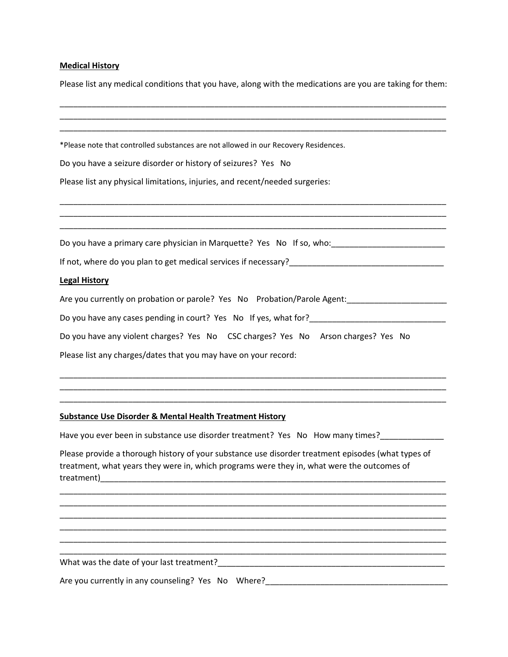# **Medical History**

Please list any medical conditions that you have, along with the medications are you are taking for them:

| *Please note that controlled substances are not allowed in our Recovery Residences.                                                                                                                                                                                                                                                    |  |
|----------------------------------------------------------------------------------------------------------------------------------------------------------------------------------------------------------------------------------------------------------------------------------------------------------------------------------------|--|
| Do you have a seizure disorder or history of seizures? Yes No                                                                                                                                                                                                                                                                          |  |
| Please list any physical limitations, injuries, and recent/needed surgeries:                                                                                                                                                                                                                                                           |  |
|                                                                                                                                                                                                                                                                                                                                        |  |
| Do you have a primary care physician in Marquette? Yes No If so, who: https://www.com/www.com/                                                                                                                                                                                                                                         |  |
|                                                                                                                                                                                                                                                                                                                                        |  |
| <b>Legal History</b>                                                                                                                                                                                                                                                                                                                   |  |
| Are you currently on probation or parole? Yes No Probation/Parole Agent:                                                                                                                                                                                                                                                               |  |
|                                                                                                                                                                                                                                                                                                                                        |  |
| Do you have any violent charges? Yes No CSC charges? Yes No Arson charges? Yes No                                                                                                                                                                                                                                                      |  |
| Please list any charges/dates that you may have on your record:                                                                                                                                                                                                                                                                        |  |
|                                                                                                                                                                                                                                                                                                                                        |  |
|                                                                                                                                                                                                                                                                                                                                        |  |
| <b>Substance Use Disorder &amp; Mental Health Treatment History</b>                                                                                                                                                                                                                                                                    |  |
| Have you ever been in substance use disorder treatment? Yes No How many times?                                                                                                                                                                                                                                                         |  |
| Please provide a thorough history of your substance use disorder treatment episodes (what types of<br>treatment, what years they were in, which programs were they in, what were the outcomes of<br>treatment)<br><u> 1980 - Johann John Harry, mars ar yw i brenin y cyfeiriad y cyfeiriad y cyfeiriad y cyfeiriad y cyfeiriad yn</u> |  |
|                                                                                                                                                                                                                                                                                                                                        |  |
|                                                                                                                                                                                                                                                                                                                                        |  |
|                                                                                                                                                                                                                                                                                                                                        |  |
|                                                                                                                                                                                                                                                                                                                                        |  |
|                                                                                                                                                                                                                                                                                                                                        |  |
|                                                                                                                                                                                                                                                                                                                                        |  |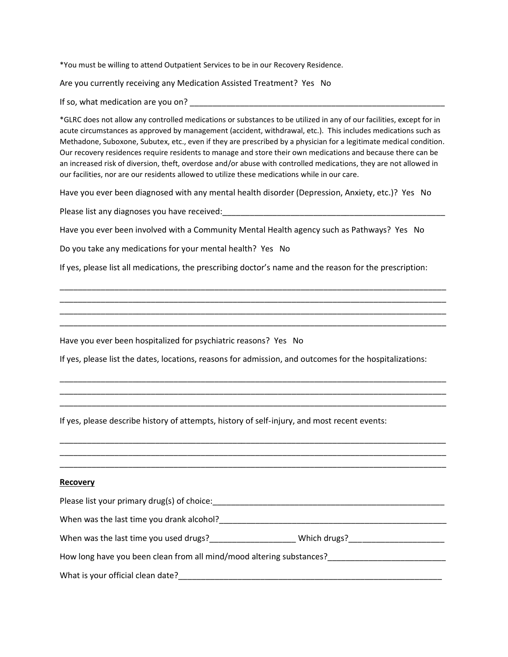\*You must be willing to attend Outpatient Services to be in our Recovery Residence.

Are you currently receiving any Medication Assisted Treatment? Yes No

If so, what medication are you on?

\*GLRC does not allow any controlled medications or substances to be utilized in any of our facilities, except for in acute circumstances as approved by management (accident, withdrawal, etc.). This includes medications such as Methadone, Suboxone, Subutex, etc., even if they are prescribed by a physician for a legitimate medical condition. Our recovery residences require residents to manage and store their own medications and because there can be an increased risk of diversion, theft, overdose and/or abuse with controlled medications, they are not allowed in our facilities, nor are our residents allowed to utilize these medications while in our care.

Have you ever been diagnosed with any mental health disorder (Depression, Anxiety, etc.)? Yes No

Please list any diagnoses you have received:

Have you ever been involved with a Community Mental Health agency such as Pathways? Yes No

Do you take any medications for your mental health? Yes No

If yes, please list all medications, the prescribing doctor's name and the reason for the prescription:

\_\_\_\_\_\_\_\_\_\_\_\_\_\_\_\_\_\_\_\_\_\_\_\_\_\_\_\_\_\_\_\_\_\_\_\_\_\_\_\_\_\_\_\_\_\_\_\_\_\_\_\_\_\_\_\_\_\_\_\_\_\_\_\_\_\_\_\_\_\_\_\_\_\_\_\_\_\_\_\_\_\_\_\_\_ \_\_\_\_\_\_\_\_\_\_\_\_\_\_\_\_\_\_\_\_\_\_\_\_\_\_\_\_\_\_\_\_\_\_\_\_\_\_\_\_\_\_\_\_\_\_\_\_\_\_\_\_\_\_\_\_\_\_\_\_\_\_\_\_\_\_\_\_\_\_\_\_\_\_\_\_\_\_\_\_\_\_\_\_\_ \_\_\_\_\_\_\_\_\_\_\_\_\_\_\_\_\_\_\_\_\_\_\_\_\_\_\_\_\_\_\_\_\_\_\_\_\_\_\_\_\_\_\_\_\_\_\_\_\_\_\_\_\_\_\_\_\_\_\_\_\_\_\_\_\_\_\_\_\_\_\_\_\_\_\_\_\_\_\_\_\_\_\_\_\_ \_\_\_\_\_\_\_\_\_\_\_\_\_\_\_\_\_\_\_\_\_\_\_\_\_\_\_\_\_\_\_\_\_\_\_\_\_\_\_\_\_\_\_\_\_\_\_\_\_\_\_\_\_\_\_\_\_\_\_\_\_\_\_\_\_\_\_\_\_\_\_\_\_\_\_\_\_\_\_\_\_\_\_\_\_

Have you ever been hospitalized for psychiatric reasons? Yes No

If yes, please list the dates, locations, reasons for admission, and outcomes for the hospitalizations:

\_\_\_\_\_\_\_\_\_\_\_\_\_\_\_\_\_\_\_\_\_\_\_\_\_\_\_\_\_\_\_\_\_\_\_\_\_\_\_\_\_\_\_\_\_\_\_\_\_\_\_\_\_\_\_\_\_\_\_\_\_\_\_\_\_\_\_\_\_\_\_\_\_\_\_\_\_\_\_\_\_\_\_\_\_ \_\_\_\_\_\_\_\_\_\_\_\_\_\_\_\_\_\_\_\_\_\_\_\_\_\_\_\_\_\_\_\_\_\_\_\_\_\_\_\_\_\_\_\_\_\_\_\_\_\_\_\_\_\_\_\_\_\_\_\_\_\_\_\_\_\_\_\_\_\_\_\_\_\_\_\_\_\_\_\_\_\_\_\_\_ \_\_\_\_\_\_\_\_\_\_\_\_\_\_\_\_\_\_\_\_\_\_\_\_\_\_\_\_\_\_\_\_\_\_\_\_\_\_\_\_\_\_\_\_\_\_\_\_\_\_\_\_\_\_\_\_\_\_\_\_\_\_\_\_\_\_\_\_\_\_\_\_\_\_\_\_\_\_\_\_\_\_\_\_\_

\_\_\_\_\_\_\_\_\_\_\_\_\_\_\_\_\_\_\_\_\_\_\_\_\_\_\_\_\_\_\_\_\_\_\_\_\_\_\_\_\_\_\_\_\_\_\_\_\_\_\_\_\_\_\_\_\_\_\_\_\_\_\_\_\_\_\_\_\_\_\_\_\_\_\_\_\_\_\_\_\_\_\_\_\_ \_\_\_\_\_\_\_\_\_\_\_\_\_\_\_\_\_\_\_\_\_\_\_\_\_\_\_\_\_\_\_\_\_\_\_\_\_\_\_\_\_\_\_\_\_\_\_\_\_\_\_\_\_\_\_\_\_\_\_\_\_\_\_\_\_\_\_\_\_\_\_\_\_\_\_\_\_\_\_\_\_\_\_\_\_ \_\_\_\_\_\_\_\_\_\_\_\_\_\_\_\_\_\_\_\_\_\_\_\_\_\_\_\_\_\_\_\_\_\_\_\_\_\_\_\_\_\_\_\_\_\_\_\_\_\_\_\_\_\_\_\_\_\_\_\_\_\_\_\_\_\_\_\_\_\_\_\_\_\_\_\_\_\_\_\_\_\_\_\_\_

If yes, please describe history of attempts, history of self-injury, and most recent events:

#### **Recovery**

| Please list your primary drug(s) of choice:                          |              |
|----------------------------------------------------------------------|--------------|
| When was the last time you drank alcohol?                            |              |
| When was the last time you used drugs?                               | Which drugs? |
| How long have you been clean from all mind/mood altering substances? |              |
| What is your official clean date?                                    |              |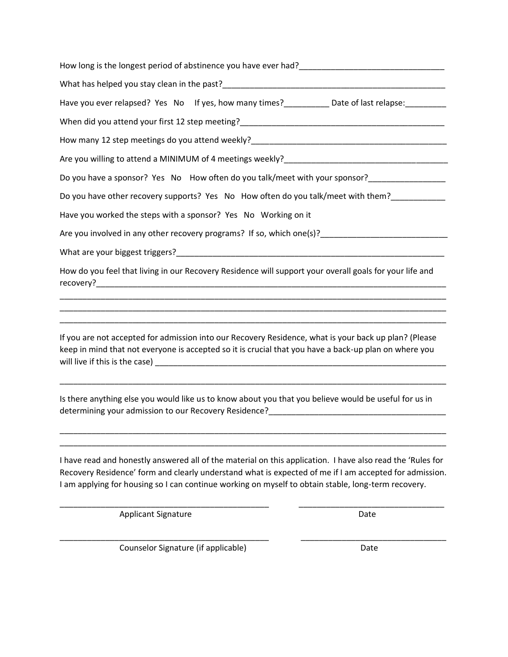| How long is the longest period of abstinence you have ever had?<br>How long is the longest period of abstinence you have ever had?                                                                                                                                                                                          |
|-----------------------------------------------------------------------------------------------------------------------------------------------------------------------------------------------------------------------------------------------------------------------------------------------------------------------------|
|                                                                                                                                                                                                                                                                                                                             |
| Have you ever relapsed? Yes No If yes, how many times?___________ Date of last relapse:__________                                                                                                                                                                                                                           |
|                                                                                                                                                                                                                                                                                                                             |
|                                                                                                                                                                                                                                                                                                                             |
| Are you willing to attend a MINIMUM of 4 meetings weekly?<br>Are you willing to attend a MINIMUM of 4 meetings weekly?                                                                                                                                                                                                      |
| Do you have a sponsor? Yes No How often do you talk/meet with your sponsor?_________________                                                                                                                                                                                                                                |
| Do you have other recovery supports? Yes No How often do you talk/meet with them?                                                                                                                                                                                                                                           |
| Have you worked the steps with a sponsor? Yes No Working on it                                                                                                                                                                                                                                                              |
| Are you involved in any other recovery programs? If so, which one(s)?                                                                                                                                                                                                                                                       |
|                                                                                                                                                                                                                                                                                                                             |
| How do you feel that living in our Recovery Residence will support your overall goals for your life and                                                                                                                                                                                                                     |
| If you are not accepted for admission into our Recovery Residence, what is your back up plan? (Please                                                                                                                                                                                                                       |
| keep in mind that not everyone is accepted so it is crucial that you have a back-up plan on where you                                                                                                                                                                                                                       |
| Is there anything else you would like us to know about you that you believe would be useful for us in<br>determining your admission to our Recovery Residence? __________________________                                                                                                                                   |
| I have read and honestly answered all of the material on this application. I have also read the 'Rules for<br>Recovery Residence' form and clearly understand what is expected of me if I am accepted for admission.<br>I am applying for housing so I can continue working on myself to obtain stable, long-term recovery. |
| <b>Applicant Signature</b><br>Date                                                                                                                                                                                                                                                                                          |
|                                                                                                                                                                                                                                                                                                                             |

Counselor Signature (if applicable) Date